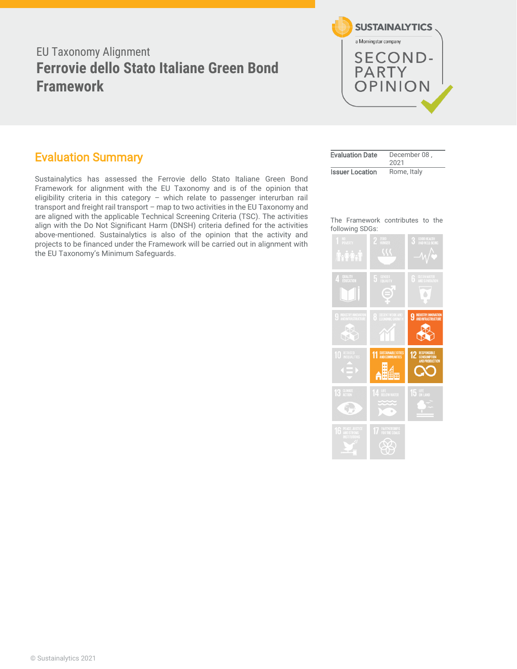# EU Taxonomy Alignment **Ferrovie dello Stato Italiane Green Bond Framework**



### <span id="page-0-0"></span>Evaluation Summary

Sustainalytics has assessed the Ferrovie dello Stato Italiane Green Bond Framework for alignment with the EU Taxonomy and is of the opinion that eligibility criteria in this category – which relate to passenger interurban rail transport and freight rail transport – map to two activities in the EU Taxonomy and are aligned with the applicable Technical Screening Criteria (TSC). The activities align with the Do Not Significant Harm (DNSH) criteria defined for the activities above-mentioned. Sustainalytics is also of the opinion that the activity and projects to be financed under the Framework will be carried out in alignment with the EU Taxonomy's Minimum Safeguards.

| <b>Evaluation Date</b> | December 08.<br>2021 |
|------------------------|----------------------|
| <b>Issuer Location</b> | Rome, Italy          |

The Framework contributes to the following SDGs:

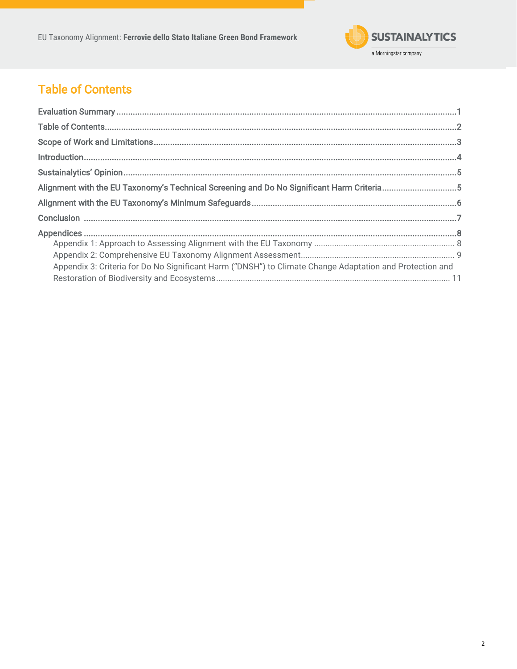<span id="page-1-0"></span>EU Taxonomy Alignment: Ferrovie dello Stato Italiane Green Bond Framework



# **Table of Contents**

| Alignment with the EU Taxonomy's Technical Screening and Do No Significant Harm Criteria5                |  |
|----------------------------------------------------------------------------------------------------------|--|
|                                                                                                          |  |
|                                                                                                          |  |
|                                                                                                          |  |
|                                                                                                          |  |
| Appendix 3: Criteria for Do No Significant Harm ("DNSH") to Climate Change Adaptation and Protection and |  |
|                                                                                                          |  |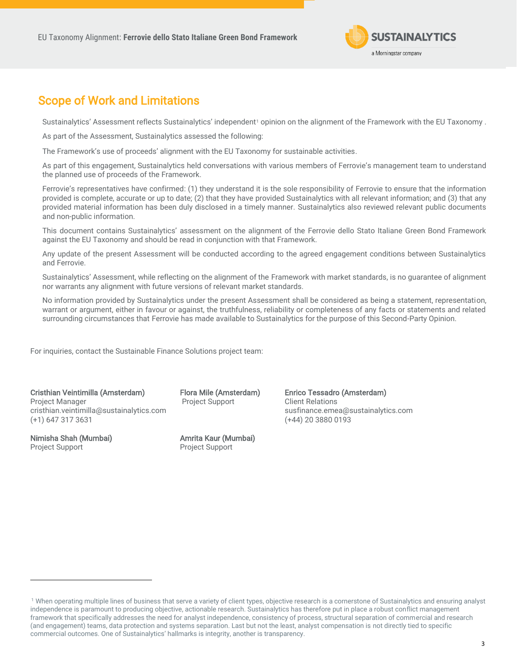

## <span id="page-2-0"></span>Scope of Work and Limitations

Sustainalytics' Assessment reflects Sustainalytics' independent<sup>1</sup> opinion on the alignment of the Framework with the EU Taxonomy.

As part of the Assessment, Sustainalytics assessed the following:

The Framework's use of proceeds' alignment with the EU Taxonomy for sustainable activities.

As part of this engagement, Sustainalytics held conversations with various members of Ferrovie's management team to understand the planned use of proceeds of the Framework.

Ferrovie's representatives have confirmed: (1) they understand it is the sole responsibility of Ferrovie to ensure that the information provided is complete, accurate or up to date; (2) that they have provided Sustainalytics with all relevant information; and (3) that any provided material information has been duly disclosed in a timely manner. Sustainalytics also reviewed relevant public documents and non-public information.

This document contains Sustainalytics' assessment on the alignment of the Ferrovie dello Stato Italiane Green Bond Framework against the EU Taxonomy and should be read in conjunction with that Framework.

Any update of the present Assessment will be conducted according to the agreed engagement conditions between Sustainalytics and Ferrovie.

Sustainalytics' Assessment, while reflecting on the alignment of the Framework with market standards, is no guarantee of alignment nor warrants any alignment with future versions of relevant market standards.

No information provided by Sustainalytics under the present Assessment shall be considered as being a statement, representation, warrant or argument, either in favour or against, the truthfulness, reliability or completeness of any facts or statements and related surrounding circumstances that Ferrovie has made available to Sustainalytics for the purpose of this Second-Party Opinion.

For inquiries, contact the Sustainable Finance Solutions project team:

Cristhian Veintimilla (Amsterdam) Project Manager cristhian.veintimilla@sustainalytics.com (+1) 647 317 3631

Nimisha Shah (Mumbai) Project Support

Flora Mile (Amsterdam) Project Support

Amrita Kaur (Mumbai) Project Support

Enrico Tessadro (Amsterdam) Client Relations susfinance.emea@sustainalytics.com (+44) 20 3880 0193

<sup>&</sup>lt;sup>1</sup> When operating multiple lines of business that serve a variety of client types, objective research is a cornerstone of Sustainalytics and ensuring analyst independence is paramount to producing objective, actionable research. Sustainalytics has therefore put in place a robust conflict management framework that specifically addresses the need for analyst independence, consistency of process, structural separation of commercial and research (and engagement) teams, data protection and systems separation. Last but not the least, analyst compensation is not directly tied to specific commercial outcomes. One of Sustainalytics' hallmarks is integrity, another is transparency.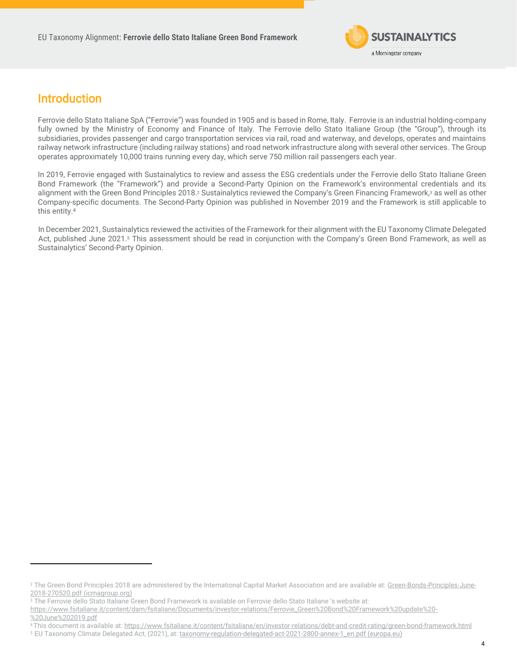

## <span id="page-3-0"></span>Introduction

Ferrovie dello Stato Italiane SpA ("Ferrovie") was founded in 1905 and is based in Rome, Italy. Ferrovie is an industrial holding-company fully owned by the Ministry of Economy and Finance of Italy. The Ferrovie dello Stato Italiane Group (the "Group"), through its subsidiaries, provides passenger and cargo transportation services via rail, road and waterway, and develops, operates and maintains railway network infrastructure (including railway stations) and road network infrastructure along with several other services. The Group operates approximately 10,000 trains running every day, which serve 750 million rail passengers each year.

In 2019, Ferrovie engaged with Sustainalytics to review and assess the ESG credentials under the Ferrovie dello Stato Italiane Green Bond Framework (the "Framework") and provide a Second-Party Opinion on the Framework's environmental credentials and its alignment with the Green Bond Principles 2018.<sup>2</sup> Sustainalytics reviewed the Company's Green Financing Framework,3 as well as other Company-specific documents. The Second-Party Opinion was published in November 2019 and the Framework is still applicable to this entity. 4

In December 2021, Sustainalytics reviewed the activities of the Framework for their alignment with the EU Taxonomy Climate Delegated Act, published June 2021.<sup>5</sup> This assessment should be read in conjunction with the Company's Green Bond Framework, as well as Sustainalytics' Second-Party Opinion.

[%20June%202019.pdf](https://www.fsitaliane.it/content/dam/fsitaliane/Documents/investor-relations/Ferrovie_Green%20Bond%20Framework%20update%20-%20June%202019.pdf)

<sup>&</sup>lt;sup>2</sup> The Green Bond Principles 2018 are administered by the International Capital Market Association and are available at: [Green-Bonds-Principles-June-](https://www.icmagroup.org/assets/documents/Regulatory/Green-Bonds/Green-Bonds-Principles-June-2018-270520.pdf)[2018-270520.pdf \(icmagroup.org\)](https://www.icmagroup.org/assets/documents/Regulatory/Green-Bonds/Green-Bonds-Principles-June-2018-270520.pdf)

<sup>&</sup>lt;sup>3</sup> The Ferrovie dello Stato Italiane Green Bond Framework is available on Ferrovie dello Stato Italiane 's website at:

[https://www.fsitaliane.it/content/dam/fsitaliane/Documents/investor-relations/Ferrovie\\_Green%20Bond%20Framework%20update%20-](https://www.fsitaliane.it/content/dam/fsitaliane/Documents/investor-relations/Ferrovie_Green%20Bond%20Framework%20update%20-%20June%202019.pdf)

<sup>4</sup> This document is available at[: https://www.fsitaliane.it/content/fsitaliane/en/investor-relations/debt-and-credit-rating/green-bond-framework.html](https://www.fsitaliane.it/content/fsitaliane/en/investor-relations/debt-and-credit-rating/green-bond-framework.html)

<sup>5</sup>EU Taxonomy Climate Delegated Act, (2021), at[: taxonomy-regulation-delegated-act-2021-2800-annex-1\\_en.pdf \(europa.eu\)](https://ec.europa.eu/finance/docs/level-2-measures/taxonomy-regulation-delegated-act-2021-2800-annex-1_en.pdf)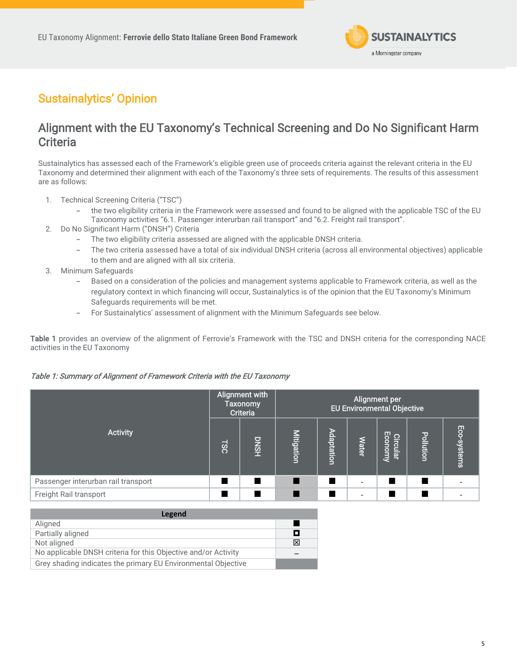

## <span id="page-4-0"></span>Sustainalytics' Opinion

## <span id="page-4-1"></span>Alignment with the EU Taxonomy's Technical Screening and Do No Significant Harm **Criteria**

Sustainalytics has assessed each of the Framework's eligible green use of proceeds criteria against the relevant criteria in the EU Taxonomy and determined their alignment with each of the Taxonomy's three sets of requirements. The results of this assessment are as follows:

- 1. Technical Screening Criteria ("TSC")
	- the two eligibility criteria in the Framework were assessed and found to be aligned with the applicable TSC of the EU Taxonomy activities "6.1. Passenger interurban rail transport" and "6.2. Freight rail transport".
- 2. Do No Significant Harm ("DNSH") Criteria
	- The two eligibility criteria assessed are aligned with the applicable DNSH criteria.
	- The two criteria assessed have a total of six individual DNSH criteria (across all environmental objectives) applicable to them and are aligned with all six criteria.
- 3. Minimum Safeguards
	- Based on a consideration of the policies and management systems applicable to Framework criteria, as well as the regulatory context in which financing will occur, Sustainalytics is of the opinion that the EU Taxonomy's Minimum Safeguards requirements will be met.
	- For Sustainalytics' assessment of alignment with the Minimum Safeguards see below.

Table 1 provides an overview of the alignment of Ferrovie's Framework with the TSC and DNSH criteria for the corresponding NACE activities in the EU Taxonomy

### Table 1: Summary of Alignment of Framework Criteria with the EU Taxonomy

|                                     | Alignment with<br><b>Taxonomy</b><br><b>Criteria</b> |             | Alignment per<br><b>EU Environmental Objective</b> |            |              |                     |                  |             |
|-------------------------------------|------------------------------------------------------|-------------|----------------------------------------------------|------------|--------------|---------------------|------------------|-------------|
| <b>Activity</b>                     | <b>JSC</b>                                           | <b>DNSH</b> | <b>Mitigation</b>                                  | Adaptation | <b>Water</b> | Circular<br>Economy | <b>Pollution</b> | Eco-systems |
| Passenger interurban rail transport |                                                      | п           |                                                    |            |              |                     |                  |             |
| Freight Rail transport              |                                                      |             |                                                    |            |              |                     |                  |             |
|                                     |                                                      |             |                                                    |            |              |                     |                  |             |

| Legend                                                         |   |
|----------------------------------------------------------------|---|
| Aligned                                                        |   |
| Partially aligned                                              | П |
| Not aligned                                                    | 冈 |
| No applicable DNSH criteria for this Objective and/or Activity |   |
| Grey shading indicates the primary EU Environmental Objective  |   |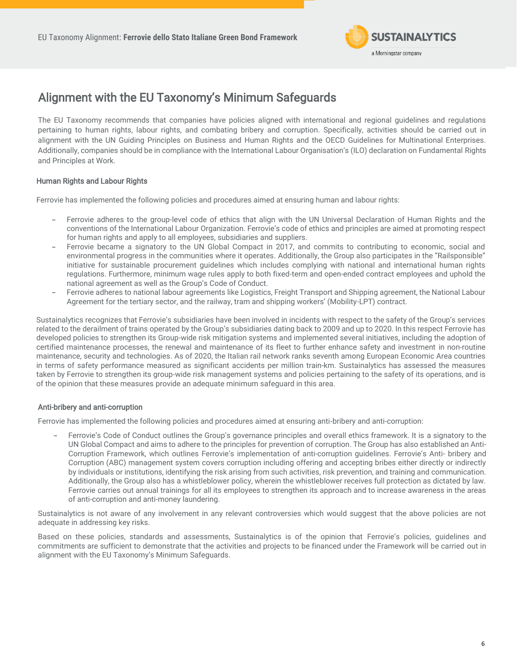

## <span id="page-5-0"></span>Alignment with the EU Taxonomy's Minimum Safeguards

The EU Taxonomy recommends that companies have policies aligned with international and regional guidelines and regulations pertaining to human rights, labour rights, and combating bribery and corruption. Specifically, activities should be carried out in alignment with the UN Guiding Principles on Business and Human Rights and the OECD Guidelines for Multinational Enterprises. Additionally, companies should be in compliance with the International Labour Organisation's (ILO) declaration on Fundamental Rights and Principles at Work.

### Human Rights and Labour Rights

Ferrovie has implemented the following policies and procedures aimed at ensuring human and labour rights:

- Ferrovie adheres to the group-level code of ethics that align with the UN Universal Declaration of Human Rights and the conventions of the International Labour Organization. Ferrovie's code of ethics and principles are aimed at promoting respect for human rights and apply to all employees, subsidiaries and suppliers.
- Ferrovie became a signatory to the UN Global Compact in 2017, and commits to contributing to economic, social and environmental progress in the communities where it operates. Additionally, the Group also participates in the "Railsponsible" initiative for sustainable procurement guidelines which includes complying with national and international human rights regulations. Furthermore, minimum wage rules apply to both fixed-term and open-ended contract employees and uphold the national agreement as well as the Group's Code of Conduct.
- Ferrovie adheres to national labour agreements like Logistics, Freight Transport and Shipping agreement, the National Labour Agreement for the tertiary sector, and the railway, tram and shipping workers' (Mobility-LPT) contract.

Sustainalytics recognizes that Ferrovie's subsidiaries have been involved in incidents with respect to the safety of the Group's services related to the derailment of trains operated by the Group's subsidiaries dating back to 2009 and up to 2020. In this respect Ferrovie has developed policies to strengthen its Group-wide risk mitigation systems and implemented several initiatives, including the adoption of certified maintenance processes, the renewal and maintenance of its fleet to further enhance safety and investment in non-routine maintenance, security and technologies. As of 2020, the Italian rail network ranks seventh among European Economic Area countries in terms of safety performance measured as significant accidents per million train-km. Sustainalytics has assessed the measures taken by Ferrovie to strengthen its group-wide risk management systems and policies pertaining to the safety of its operations, and is of the opinion that these measures provide an adequate minimum safeguard in this area.

### Anti-bribery and anti-corruption

Ferrovie has implemented the following policies and procedures aimed at ensuring anti-bribery and anti-corruption:

Ferrovie's Code of Conduct outlines the Group's governance principles and overall ethics framework. It is a signatory to the UN Global Compact and aims to adhere to the principles for prevention of corruption. The Group has also established an Anti-Corruption Framework, which outlines Ferrovie's implementation of anti-corruption guidelines. Ferrovie's Anti- bribery and Corruption (ABC) management system covers corruption including offering and accepting bribes either directly or indirectly by individuals or institutions, identifying the risk arising from such activities, risk prevention, and training and communication. Additionally, the Group also has a whistleblower policy, wherein the whistleblower receives full protection as dictated by law. Ferrovie carries out annual trainings for all its employees to strengthen its approach and to increase awareness in the areas of anti-corruption and anti-money laundering.

Sustainalytics is not aware of any involvement in any relevant controversies which would suggest that the above policies are not adequate in addressing key risks.

<span id="page-5-1"></span>Based on these policies, standards and assessments, Sustainalytics is of the opinion that Ferrovie's policies, guidelines and commitments are sufficient to demonstrate that the activities and projects to be financed under the Framework will be carried out in alignment with the EU Taxonomy's Minimum Safeguards.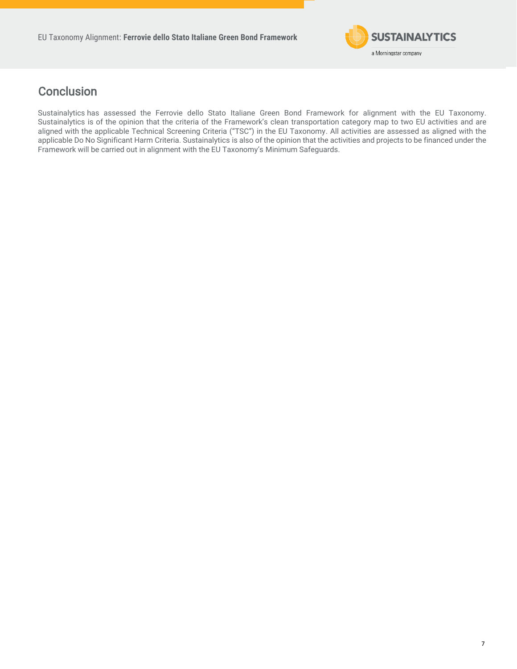

## **Conclusion**

Sustainalytics has assessed the Ferrovie dello Stato Italiane Green Bond Framework for alignment with the EU Taxonomy. Sustainalytics is of the opinion that the criteria of the Framework's clean transportation category map to two EU activities and are aligned with the applicable Technical Screening Criteria ("TSC") in the EU Taxonomy. All activities are assessed as aligned with the applicable Do No Significant Harm Criteria. Sustainalytics is also of the opinion that the activities and projects to be financed under the Framework will be carried out in alignment with the EU Taxonomy's Minimum Safeguards.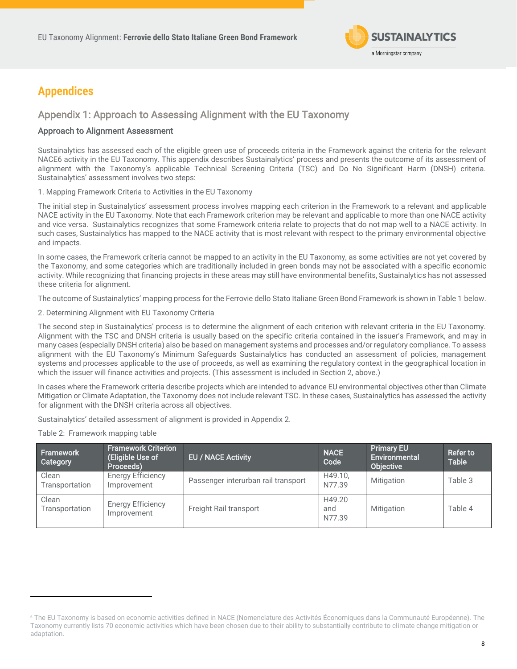

## <span id="page-7-0"></span>**Appendices**

### <span id="page-7-1"></span>Appendix 1: Approach to Assessing Alignment with the EU Taxonomy

### Approach to Alignment Assessment

Sustainalytics has assessed each of the eligible green use of proceeds criteria in the Framework against the criteria for the relevant NACE6 activity in the EU Taxonomy. This appendix describes Sustainalytics' process and presents the outcome of its assessment of alignment with the Taxonomy's applicable Technical Screening Criteria (TSC) and Do No Significant Harm (DNSH) criteria. Sustainalytics' assessment involves two steps:

1. Mapping Framework Criteria to Activities in the EU Taxonomy

The initial step in Sustainalytics' assessment process involves mapping each criterion in the Framework to a relevant and applicable NACE activity in the EU Taxonomy. Note that each Framework criterion may be relevant and applicable to more than one NACE activity and vice versa. Sustainalytics recognizes that some Framework criteria relate to projects that do not map well to a NACE activity. In such cases, Sustainalytics has mapped to the NACE activity that is most relevant with respect to the primary environmental objective and impacts.

In some cases, the Framework criteria cannot be mapped to an activity in the EU Taxonomy, as some activities are not yet covered by the Taxonomy, and some categories which are traditionally included in green bonds may not be associated with a specific economic activity. While recognizing that financing projects in these areas may still have environmental benefits, Sustainalytics has not assessed these criteria for alignment.

The outcome of Sustainalytics' mapping process for the Ferrovie dello Stato Italiane Green Bond Framework is shown in Table 1 below.

### 2. Determining Alignment with EU Taxonomy Criteria

The second step in Sustainalytics' process is to determine the alignment of each criterion with relevant criteria in the EU Taxonomy. Alignment with the TSC and DNSH criteria is usually based on the specific criteria contained in the issuer's Framework, and may in many cases (especially DNSH criteria) also be based on management systems and processes and/or regulatory compliance. To assess alignment with the EU Taxonomy's Minimum Safeguards Sustainalytics has conducted an assessment of policies, management systems and processes applicable to the use of proceeds, as well as examining the regulatory context in the geographical location in which the issuer will finance activities and projects. (This assessment is included in Section 2, above.)

In cases where the Framework criteria describe projects which are intended to advance EU environmental objectives other than Climate Mitigation or Climate Adaptation, the Taxonomy does not include relevant TSC. In these cases, Sustainalytics has assessed the activity for alignment with the DNSH criteria across all objectives.

Sustainalytics' detailed assessment of alignment is provided in Appendix 2.

### Table 2: Framework mapping table

| Framework<br>Category   | <b>Framework Criterion</b><br>(Eligible Use of<br>Proceeds) | <b>EU / NACE Activity</b>           | <b>NACE</b><br>Code     | <b>Primary EU</b><br>Environmental<br>Objective | <b>Refer to</b><br><b>Table</b> |
|-------------------------|-------------------------------------------------------------|-------------------------------------|-------------------------|-------------------------------------------------|---------------------------------|
| Clean<br>Transportation | <b>Energy Efficiency</b><br>Improvement                     | Passenger interurban rail transport | H49.10.<br>N77.39       | Mitigation                                      | Table 3                         |
| Clean<br>Transportation | Energy Efficiency<br>Improvement                            | Freight Rail transport              | H49.20<br>and<br>N77.39 | Mitigation                                      | Table 4                         |

<span id="page-7-2"></span><sup>6</sup> The EU Taxonomy is based on economic activities defined in NACE (Nomenclature des Activités Économiques dans la Communauté Européenne). The Taxonomy currently lists 70 economic activities which have been chosen due to their ability to substantially contribute to climate change mitigation or adaptation.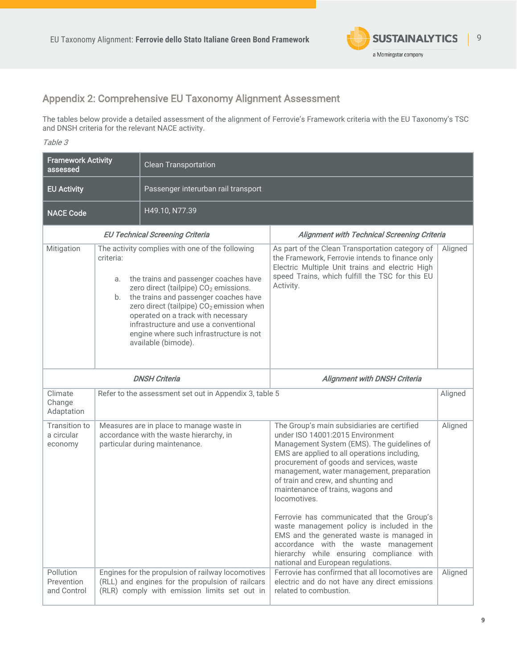

### Appendix 2: Comprehensive EU Taxonomy Alignment Assessment

The tables below provide a detailed assessment of the alignment of Ferrovie's Framework criteria with the EU Taxonomy's TSC and DNSH criteria for the relevant NACE activity.

Table 3

| <b>Framework Activity</b><br>assessed  |                       | <b>Clean Transportation</b>                                                                                                                                                                                                                                                                                                                                                                     |                                                                                                                                                                                                                                                                                                                                                                                                                                                                                                                                                                                                                                       |         |
|----------------------------------------|-----------------------|-------------------------------------------------------------------------------------------------------------------------------------------------------------------------------------------------------------------------------------------------------------------------------------------------------------------------------------------------------------------------------------------------|---------------------------------------------------------------------------------------------------------------------------------------------------------------------------------------------------------------------------------------------------------------------------------------------------------------------------------------------------------------------------------------------------------------------------------------------------------------------------------------------------------------------------------------------------------------------------------------------------------------------------------------|---------|
| <b>EU Activity</b>                     |                       | Passenger interurban rail transport                                                                                                                                                                                                                                                                                                                                                             |                                                                                                                                                                                                                                                                                                                                                                                                                                                                                                                                                                                                                                       |         |
| H49.10, N77.39<br><b>NACE Code</b>     |                       |                                                                                                                                                                                                                                                                                                                                                                                                 |                                                                                                                                                                                                                                                                                                                                                                                                                                                                                                                                                                                                                                       |         |
|                                        |                       | <b>EU Technical Screening Criteria</b>                                                                                                                                                                                                                                                                                                                                                          | Alignment with Technical Screening Criteria                                                                                                                                                                                                                                                                                                                                                                                                                                                                                                                                                                                           |         |
| Mitigation                             | criteria:<br>а.<br>b. | The activity complies with one of the following<br>the trains and passenger coaches have<br>zero direct (tailpipe) CO <sub>2</sub> emissions.<br>the trains and passenger coaches have<br>zero direct (tailpipe) CO <sub>2</sub> emission when<br>operated on a track with necessary<br>infrastructure and use a conventional<br>engine where such infrastructure is not<br>available (bimode). | As part of the Clean Transportation category of<br>the Framework, Ferrovie intends to finance only<br>Electric Multiple Unit trains and electric High<br>speed Trains, which fulfill the TSC for this EU<br>Activity.                                                                                                                                                                                                                                                                                                                                                                                                                 | Aligned |
| <b>DNSH Criteria</b>                   |                       |                                                                                                                                                                                                                                                                                                                                                                                                 | <b>Alignment with DNSH Criteria</b>                                                                                                                                                                                                                                                                                                                                                                                                                                                                                                                                                                                                   |         |
| Climate<br>Change<br>Adaptation        |                       | Refer to the assessment set out in Appendix 3, table 5                                                                                                                                                                                                                                                                                                                                          |                                                                                                                                                                                                                                                                                                                                                                                                                                                                                                                                                                                                                                       | Aligned |
| Transition to<br>a circular<br>economy |                       | Measures are in place to manage waste in<br>accordance with the waste hierarchy, in<br>particular during maintenance.                                                                                                                                                                                                                                                                           | The Group's main subsidiaries are certified<br>under ISO 14001:2015 Environment<br>Management System (EMS). The guidelines of<br>EMS are applied to all operations including,<br>procurement of goods and services, waste<br>management, water management, preparation<br>of train and crew, and shunting and<br>maintenance of trains, wagons and<br>locomotives.<br>Ferrovie has communicated that the Group's<br>waste management policy is included in the<br>EMS and the generated waste is managed in<br>accordance with the waste management<br>hierarchy while ensuring compliance with<br>national and European regulations. | Aligned |
| Pollution<br>Prevention<br>and Control |                       | Engines for the propulsion of railway locomotives<br>(RLL) and engines for the propulsion of railcars<br>(RLR) comply with emission limits set out in                                                                                                                                                                                                                                           | Ferrovie has confirmed that all locomotives are<br>electric and do not have any direct emissions<br>related to combustion.                                                                                                                                                                                                                                                                                                                                                                                                                                                                                                            | Aligned |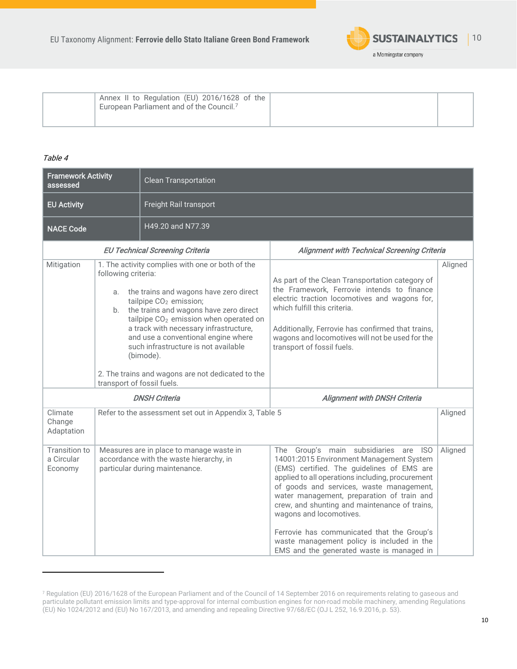

| Annex II to Regulation (EU) 2016/1628 of the<br>European Parliament and of the Council. <sup>7</sup> |  |  |  |
|------------------------------------------------------------------------------------------------------|--|--|--|
|------------------------------------------------------------------------------------------------------|--|--|--|

### Table 4

| <b>Framework Activity</b><br>assessed                                                                                                                                                                                                                                                                                                                                                                                                                                     |  | <b>Clean Transportation</b>                                                                                           |                                                                                                                                                                                                                                                                                                                                                                                                                                                                                                    |         |  |
|---------------------------------------------------------------------------------------------------------------------------------------------------------------------------------------------------------------------------------------------------------------------------------------------------------------------------------------------------------------------------------------------------------------------------------------------------------------------------|--|-----------------------------------------------------------------------------------------------------------------------|----------------------------------------------------------------------------------------------------------------------------------------------------------------------------------------------------------------------------------------------------------------------------------------------------------------------------------------------------------------------------------------------------------------------------------------------------------------------------------------------------|---------|--|
| <b>EU Activity</b>                                                                                                                                                                                                                                                                                                                                                                                                                                                        |  | Freight Rail transport                                                                                                |                                                                                                                                                                                                                                                                                                                                                                                                                                                                                                    |         |  |
| <b>NACE Code</b>                                                                                                                                                                                                                                                                                                                                                                                                                                                          |  | H49.20 and N77.39                                                                                                     |                                                                                                                                                                                                                                                                                                                                                                                                                                                                                                    |         |  |
|                                                                                                                                                                                                                                                                                                                                                                                                                                                                           |  | <b>EU Technical Screening Criteria</b>                                                                                | <b>Alignment with Technical Screening Criteria</b>                                                                                                                                                                                                                                                                                                                                                                                                                                                 |         |  |
| Mitigation<br>1. The activity complies with one or both of the<br>following criteria:<br>a. the trains and wagons have zero direct<br>tailpipe CO <sub>2</sub> emission;<br>the trains and wagons have zero direct<br>b.<br>tailpipe CO <sub>2</sub> emission when operated on<br>a track with necessary infrastructure,<br>and use a conventional engine where<br>such infrastructure is not available<br>(bimode).<br>2. The trains and wagons are not dedicated to the |  | transport of fossil fuels.                                                                                            | As part of the Clean Transportation category of<br>the Framework, Ferrovie intends to finance<br>electric traction locomotives and wagons for,<br>which fulfill this criteria.<br>Additionally, Ferrovie has confirmed that trains,<br>wagons and locomotives will not be used for the<br>transport of fossil fuels.                                                                                                                                                                               | Aligned |  |
|                                                                                                                                                                                                                                                                                                                                                                                                                                                                           |  | <b>DNSH Criteria</b>                                                                                                  | <b>Alignment with DNSH Criteria</b>                                                                                                                                                                                                                                                                                                                                                                                                                                                                |         |  |
| Climate<br>Change<br>Adaptation                                                                                                                                                                                                                                                                                                                                                                                                                                           |  | Refer to the assessment set out in Appendix 3, Table 5                                                                |                                                                                                                                                                                                                                                                                                                                                                                                                                                                                                    | Aligned |  |
| <b>Transition to</b><br>a Circular<br>Economy                                                                                                                                                                                                                                                                                                                                                                                                                             |  | Measures are in place to manage waste in<br>accordance with the waste hierarchy, in<br>particular during maintenance. | The Group's main subsidiaries are ISO<br>14001:2015 Environment Management System<br>(EMS) certified. The guidelines of EMS are<br>applied to all operations including, procurement<br>of goods and services, waste management,<br>water management, preparation of train and<br>crew, and shunting and maintenance of trains,<br>wagons and locomotives.<br>Ferrovie has communicated that the Group's<br>waste management policy is included in the<br>EMS and the generated waste is managed in | Aligned |  |

<sup>7</sup> Regulation (EU) 2016/1628 of the European Parliament and of the Council of 14 September 2016 on requirements relating to gaseous and particulate pollutant emission limits and type-approval for internal combustion engines for non-road mobile machinery, amending Regulations (EU) No 1024/2012 and (EU) No 167/2013, and amending and repealing Directive 97/68/EC (OJ L 252, 16.9.2016, p. 53).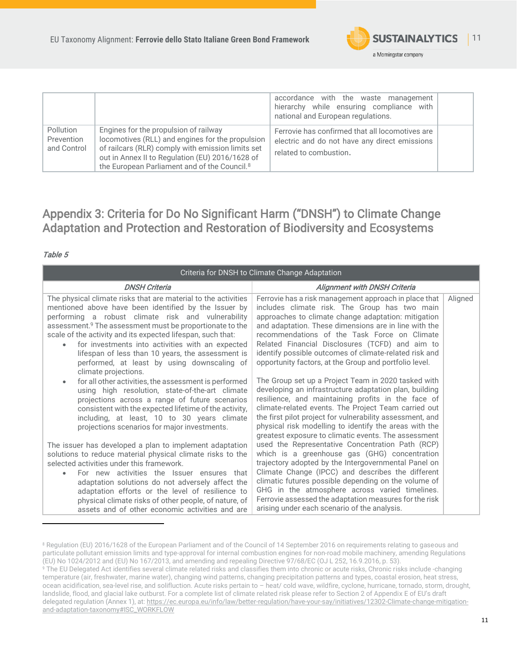

|                                               |                                                                                                                                                                                                                                                               | accordance with the waste management<br>hierarchy while ensuring compliance with<br>national and European regulations.     |  |
|-----------------------------------------------|---------------------------------------------------------------------------------------------------------------------------------------------------------------------------------------------------------------------------------------------------------------|----------------------------------------------------------------------------------------------------------------------------|--|
| <b>Pollution</b><br>Prevention<br>and Control | Engines for the propulsion of railway<br>locomotives (RLL) and engines for the propulsion<br>of railcars (RLR) comply with emission limits set<br>out in Annex II to Regulation (EU) 2016/1628 of<br>the European Parliament and of the Council. <sup>8</sup> | Ferrovie has confirmed that all locomotives are<br>electric and do not have any direct emissions<br>related to combustion. |  |

## <span id="page-10-0"></span>Appendix 3: Criteria for Do No Significant Harm ("DNSH") to Climate Change Adaptation and Protection and Restoration of Biodiversity and Ecosystems

### Table 5

|                                                                                                                                                                                                                                                                                                                                                                                                                                                                                                                                                                                                                                                                                                                                                                                                                                          | Criteria for DNSH to Climate Change Adaptation                                                                                                                                                                                                                                                                                                                                                                                                                                                                                                                                                                                                                                                                                                                                                                                                              |         |
|------------------------------------------------------------------------------------------------------------------------------------------------------------------------------------------------------------------------------------------------------------------------------------------------------------------------------------------------------------------------------------------------------------------------------------------------------------------------------------------------------------------------------------------------------------------------------------------------------------------------------------------------------------------------------------------------------------------------------------------------------------------------------------------------------------------------------------------|-------------------------------------------------------------------------------------------------------------------------------------------------------------------------------------------------------------------------------------------------------------------------------------------------------------------------------------------------------------------------------------------------------------------------------------------------------------------------------------------------------------------------------------------------------------------------------------------------------------------------------------------------------------------------------------------------------------------------------------------------------------------------------------------------------------------------------------------------------------|---------|
| <b>DNSH Criteria</b>                                                                                                                                                                                                                                                                                                                                                                                                                                                                                                                                                                                                                                                                                                                                                                                                                     | <b>Alignment with DNSH Criteria</b>                                                                                                                                                                                                                                                                                                                                                                                                                                                                                                                                                                                                                                                                                                                                                                                                                         |         |
| The physical climate risks that are material to the activities<br>mentioned above have been identified by the Issuer by<br>performing a robust climate risk and vulnerability<br>assessment. <sup>9</sup> The assessment must be proportionate to the<br>scale of the activity and its expected lifespan, such that:<br>for investments into activities with an expected<br>lifespan of less than 10 years, the assessment is<br>performed, at least by using downscaling of<br>climate projections.<br>for all other activities, the assessment is performed<br>$\bullet$<br>using high resolution, state-of-the-art climate<br>projections across a range of future scenarios<br>consistent with the expected lifetime of the activity,<br>including, at least, 10 to 30 years climate<br>projections scenarios for major investments. | Ferrovie has a risk management approach in place that<br>includes climate risk. The Group has two main<br>approaches to climate change adaptation: mitigation<br>and adaptation. These dimensions are in line with the<br>recommendations of the Task Force on Climate<br>Related Financial Disclosures (TCFD) and aim to<br>identify possible outcomes of climate-related risk and<br>opportunity factors, at the Group and portfolio level.<br>The Group set up a Project Team in 2020 tasked with<br>developing an infrastructure adaptation plan, building<br>resilience, and maintaining profits in the face of<br>climate-related events. The Project Team carried out<br>the first pilot project for vulnerability assessment, and<br>physical risk modelling to identify the areas with the<br>greatest exposure to climatic events. The assessment | Aligned |
| The issuer has developed a plan to implement adaptation<br>solutions to reduce material physical climate risks to the                                                                                                                                                                                                                                                                                                                                                                                                                                                                                                                                                                                                                                                                                                                    | used the Representative Concentration Path (RCP)<br>which is a greenhouse gas (GHG) concentration                                                                                                                                                                                                                                                                                                                                                                                                                                                                                                                                                                                                                                                                                                                                                           |         |
| selected activities under this framework.<br>For new activities the Issuer ensures that<br>$\bullet$                                                                                                                                                                                                                                                                                                                                                                                                                                                                                                                                                                                                                                                                                                                                     | trajectory adopted by the Intergovernmental Panel on<br>Climate Change (IPCC) and describes the different                                                                                                                                                                                                                                                                                                                                                                                                                                                                                                                                                                                                                                                                                                                                                   |         |
| adaptation solutions do not adversely affect the                                                                                                                                                                                                                                                                                                                                                                                                                                                                                                                                                                                                                                                                                                                                                                                         | climatic futures possible depending on the volume of<br>GHG in the atmosphere across varied timelines.                                                                                                                                                                                                                                                                                                                                                                                                                                                                                                                                                                                                                                                                                                                                                      |         |
| adaptation efforts or the level of resilience to<br>physical climate risks of other people, of nature, of<br>assets and of other economic activities and are                                                                                                                                                                                                                                                                                                                                                                                                                                                                                                                                                                                                                                                                             | Ferrovie assessed the adaptation measures for the risk<br>arising under each scenario of the analysis.                                                                                                                                                                                                                                                                                                                                                                                                                                                                                                                                                                                                                                                                                                                                                      |         |

<sup>8</sup> Regulation (EU) 2016/1628 of the European Parliament and of the Council of 14 September 2016 on requirements relating to gaseous and particulate pollutant emission limits and type-approval for internal combustion engines for non-road mobile machinery, amending Regulations (EU) No 1024/2012 and (EU) No 167/2013, and amending and repealing Directive 97/68/EC (OJ L 252, 16.9.2016, p. 53).

<sup>&</sup>lt;sup>9</sup> The EU Delegated Act identifies several climate related risks and classifies them into chronic or acute risks, Chronic risks include -changing temperature (air, freshwater, marine water), changing wind patterns, changing precipitation patterns and types, coastal erosion, heat stress, ocean acidification, sea-level rise, and solifluction. Acute risks pertain to – heat/ cold wave, wildfire, cyclone, hurricane, tornado, storm, drought, landslide, flood, and glacial lake outburst. For a complete list of climate related risk please refer to Section 2 of Appendix E of EU's draft delegated regulation (Annex 1), at: [https://ec.europa.eu/info/law/better-regulation/have-your-say/initiatives/12302-Climate-change-mitigation](https://ec.europa.eu/info/law/better-regulation/have-your-say/initiatives/12302-Climate-change-mitigation-and-adaptation-taxonomy#ISC_WORKFLOW)[and-adaptation-taxonomy#ISC\\_WORKFLOW](https://ec.europa.eu/info/law/better-regulation/have-your-say/initiatives/12302-Climate-change-mitigation-and-adaptation-taxonomy#ISC_WORKFLOW)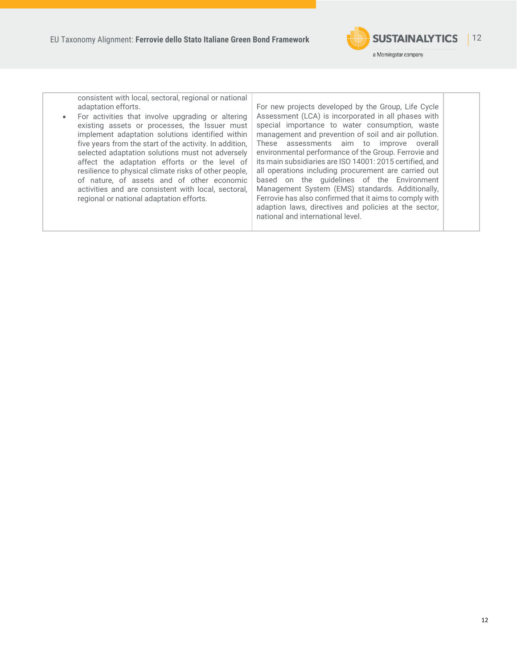

| consistent with local, sectoral, regional or national<br>adaptation efforts.<br>For activities that involve upgrading or altering<br>existing assets or processes, the Issuer must<br>implement adaptation solutions identified within<br>five years from the start of the activity. In addition,<br>selected adaptation solutions must not adversely<br>affect the adaptation efforts or the level of<br>resilience to physical climate risks of other people,<br>of nature, of assets and of other economic<br>activities and are consistent with local, sectoral,<br>regional or national adaptation efforts. | For new projects developed by the Group, Life Cycle<br>Assessment (LCA) is incorporated in all phases with<br>special importance to water consumption, waste<br>management and prevention of soil and air pollution.<br>These assessments aim to improve overall<br>environmental performance of the Group. Ferrovie and<br>its main subsidiaries are ISO 14001: 2015 certified, and<br>all operations including procurement are carried out<br>based on the guidelines of the Environment<br>Management System (EMS) standards. Additionally,<br>Ferrovie has also confirmed that it aims to comply with<br>adaption laws, directives and policies at the sector,<br>national and international level. |  |
|------------------------------------------------------------------------------------------------------------------------------------------------------------------------------------------------------------------------------------------------------------------------------------------------------------------------------------------------------------------------------------------------------------------------------------------------------------------------------------------------------------------------------------------------------------------------------------------------------------------|---------------------------------------------------------------------------------------------------------------------------------------------------------------------------------------------------------------------------------------------------------------------------------------------------------------------------------------------------------------------------------------------------------------------------------------------------------------------------------------------------------------------------------------------------------------------------------------------------------------------------------------------------------------------------------------------------------|--|
|                                                                                                                                                                                                                                                                                                                                                                                                                                                                                                                                                                                                                  |                                                                                                                                                                                                                                                                                                                                                                                                                                                                                                                                                                                                                                                                                                         |  |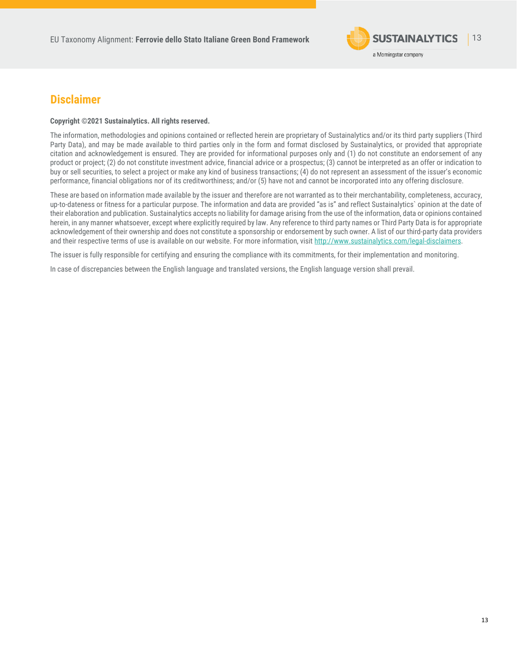

### **Disclaimer**

#### **Copyright ©2021 Sustainalytics. All rights reserved.**

The information, methodologies and opinions contained or reflected herein are proprietary of Sustainalytics and/or its third party suppliers (Third Party Data), and may be made available to third parties only in the form and format disclosed by Sustainalytics, or provided that appropriate citation and acknowledgement is ensured. They are provided for informational purposes only and (1) do not constitute an endorsement of any product or project; (2) do not constitute investment advice, financial advice or a prospectus; (3) cannot be interpreted as an offer or indication to buy or sell securities, to select a project or make any kind of business transactions; (4) do not represent an assessment of the issuer's economic performance, financial obligations nor of its creditworthiness; and/or (5) have not and cannot be incorporated into any offering disclosure.

These are based on information made available by the issuer and therefore are not warranted as to their merchantability, completeness, accuracy, up-to-dateness or fitness for a particular purpose. The information and data are provided "as is" and reflect Sustainalytics` opinion at the date of their elaboration and publication. Sustainalytics accepts no liability for damage arising from the use of the information, data or opinions contained herein, in any manner whatsoever, except where explicitly required by law. Any reference to third party names or Third Party Data is for appropriate acknowledgement of their ownership and does not constitute a sponsorship or endorsement by such owner. A list of our third-party data providers and their respective terms of use is available on our website. For more information, visi[t http://www.sustainalytics.com/legal-disclaimers.](http://www.sustainalytics.com/legal-disclaimers)

The issuer is fully responsible for certifying and ensuring the compliance with its commitments, for their implementation and monitoring.

In case of discrepancies between the English language and translated versions, the English language version shall prevail.